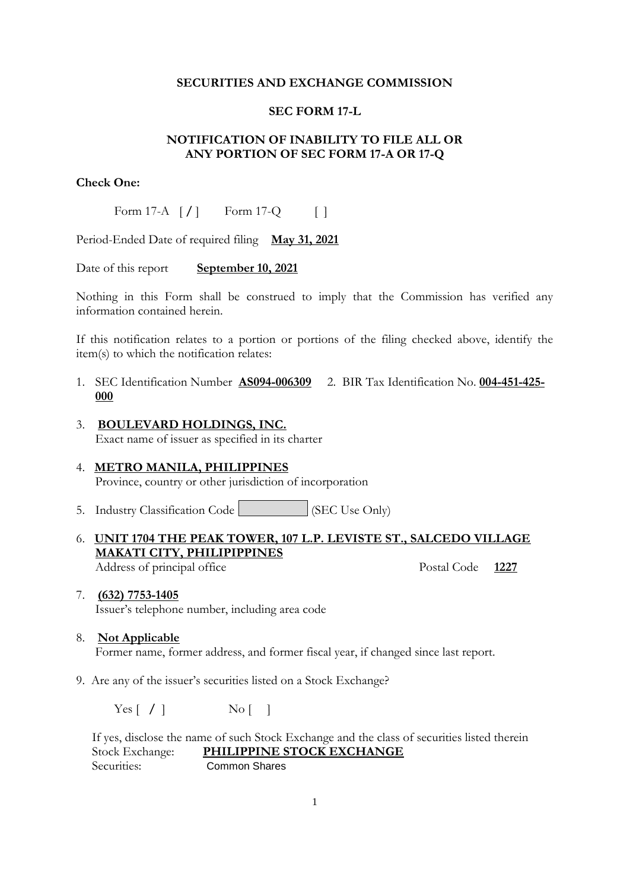#### **SECURITIES AND EXCHANGE COMMISSION**

### **SEC FORM 17-L**

# **NOTIFICATION OF INABILITY TO FILE ALL OR ANY PORTION OF SEC FORM 17-A OR 17-Q**

## **Check One:**

Form 17-A  $\lceil$  /  $\rceil$  Form 17-Q  $\lceil$  |

Period-Ended Date of required filing **May 31, 2021**

Date of this report **September 10, 2021** 

Nothing in this Form shall be construed to imply that the Commission has verified any information contained herein.

If this notification relates to a portion or portions of the filing checked above, identify the item(s) to which the notification relates:

- 1. SEC Identification Number **AS094-006309** 2. BIR Tax Identification No. **004-451-425- 000**
- 3. **BOULEVARD HOLDINGS, INC.** Exact name of issuer as specified in its charter
- 4. **METRO MANILA, PHILIPPINES** Province, country or other jurisdiction of incorporation
- 5. Industry Classification Code (SEC Use Only)
- 6. **UNIT 1704 THE PEAK TOWER, 107 L.P. LEVISTE ST., SALCEDO VILLAGE MAKATI CITY, PHILIPIPPINES**  Address of principal office Postal Code 1227

- 7. **(632) 7753-1405** Issuer's telephone number, including area code
- 8. **Not Applicable** Former name, former address, and former fiscal year, if changed since last report.
- 9. Are any of the issuer's securities listed on a Stock Exchange?

Yes [ **/** ]  $\qquad \qquad$  No [ ]

 If yes, disclose the name of such Stock Exchange and the class of securities listed therein Stock Exchange: **PHILIPPINE STOCK EXCHANGE** Securities: Common Shares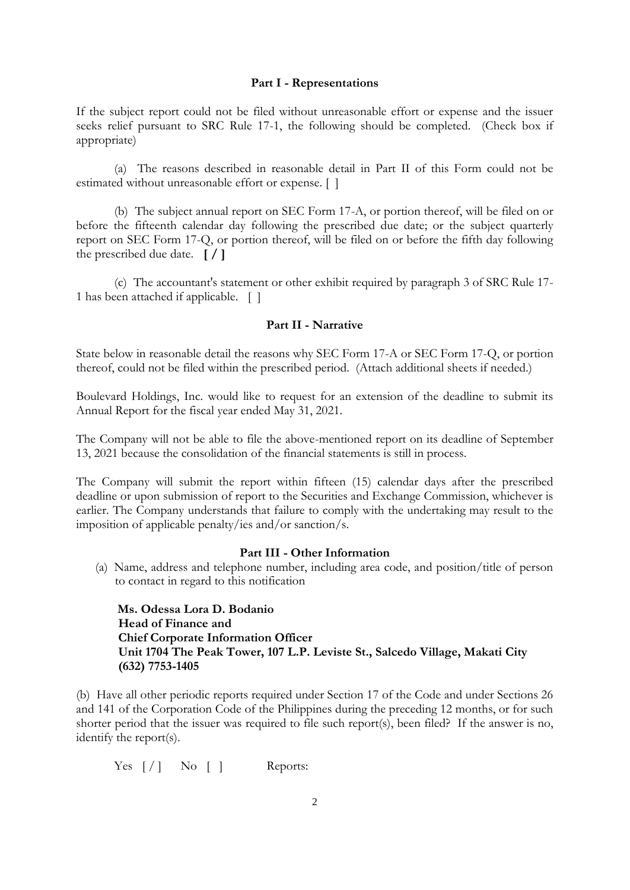#### **Part I - Representations**

If the subject report could not be filed without unreasonable effort or expense and the issuer seeks relief pursuant to SRC Rule 17-1, the following should be completed. (Check box if appropriate)

(a) The reasons described in reasonable detail in Part II of this Form could not be estimated without unreasonable effort or expense. [ ]

(b) The subject annual report on SEC Form 17-A, or portion thereof, will be filed on or before the fifteenth calendar day following the prescribed due date; or the subject quarterly report on SEC Form 17-Q, or portion thereof, will be filed on or before the fifth day following the prescribed due date. **[ / ]**

(c) The accountant's statement or other exhibit required by paragraph 3 of SRC Rule 17- 1 has been attached if applicable. [ ]

### **Part II - Narrative**

State below in reasonable detail the reasons why SEC Form 17-A or SEC Form 17-Q, or portion thereof, could not be filed within the prescribed period. (Attach additional sheets if needed.)

Boulevard Holdings, Inc. would like to request for an extension of the deadline to submit its Annual Report for the fiscal year ended May 31, 2021.

The Company will not be able to file the above-mentioned report on its deadline of September 13, 2021 because the consolidation of the financial statements is still in process.

The Company will submit the report within fifteen (15) calendar days after the prescribed deadline or upon submission of report to the Securities and Exchange Commission, whichever is earlier. The Company understands that failure to comply with the undertaking may result to the imposition of applicable penalty/ies and/or sanction/s.

## **Part III - Other Information**

(a) Name, address and telephone number, including area code, and position/title of person to contact in regard to this notification

 **Ms. Odessa Lora D. Bodanio Head of Finance and Chief Corporate Information Officer Unit 1704 The Peak Tower, 107 L.P. Leviste St., Salcedo Village, Makati City (632) 7753-1405**

(b) Have all other periodic reports required under Section 17 of the Code and under Sections 26 and 141 of the Corporation Code of the Philippines during the preceding 12 months, or for such shorter period that the issuer was required to file such report(s), been filed? If the answer is no, identify the report(s).

Yes  $\lceil / \rceil$  No  $\lceil \rceil$  Reports: